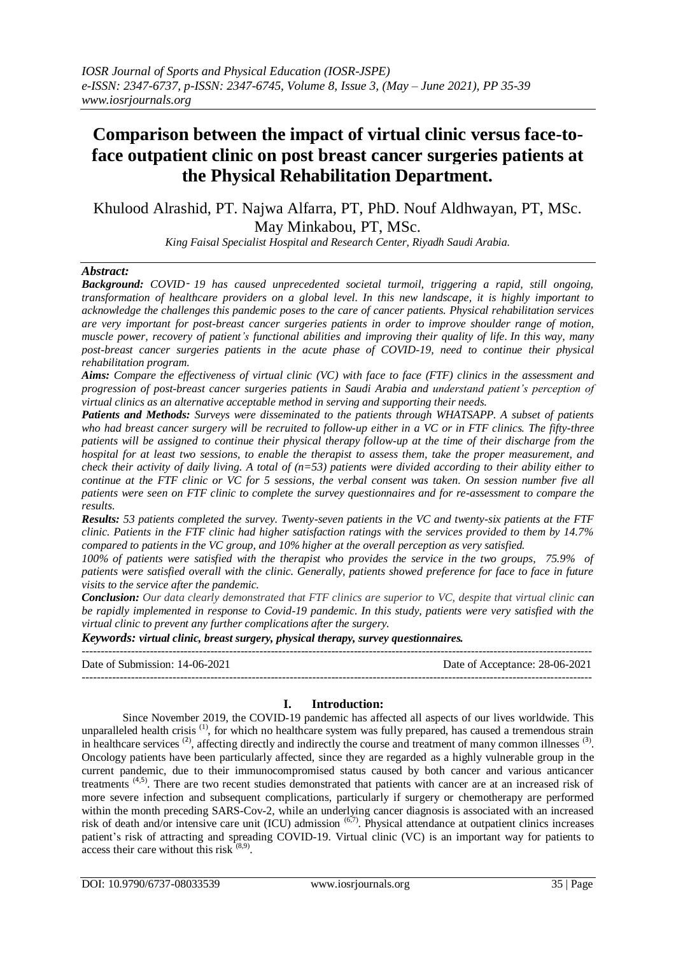# **Comparison between the impact of virtual clinic versus face-toface outpatient clinic on post breast cancer surgeries patients at the Physical Rehabilitation Department.**

Khulood Alrashid, PT. Najwa Alfarra, PT, PhD. Nouf Aldhwayan, PT, MSc. May Minkabou, PT, MSc.

*King Faisal Specialist Hospital and Research Center, Riyadh Saudi Arabia.*

#### *Abstract:*

*Background: COVID*‑ *19 has caused unprecedented societal turmoil, triggering a rapid, still ongoing, transformation of healthcare providers on a global level. In this new landscape, it is highly important to acknowledge the challenges this pandemic poses to the care of cancer patients. Physical rehabilitation services are very important for post-breast cancer surgeries patients in order to improve shoulder range of motion, muscle power, recovery of patient's functional abilities and improving their quality of life. In this way, many post-breast cancer surgeries patients in the acute phase of COVID-19, need to continue their physical rehabilitation program.* 

*Aims: Compare the effectiveness of virtual clinic (VC) with face to face (FTF) clinics in the assessment and progression of post-breast cancer surgeries patients in Saudi Arabia and understand patient's perception of virtual clinics as an alternative acceptable method in serving and supporting their needs.*

*Patients and Methods: Surveys were disseminated to the patients through WHATSAPP. A subset of patients who had breast cancer surgery will be recruited to follow-up either in a VC or in FTF clinics. The fifty-three patients will be assigned to continue their physical therapy follow-up at the time of their discharge from the hospital for at least two sessions, to enable the therapist to assess them, take the proper measurement, and check their activity of daily living. A total of (n=53) patients were divided according to their ability either to continue at the FTF clinic or VC for 5 sessions, the verbal consent was taken. On session number five all patients were seen on FTF clinic to complete the survey questionnaires and for re-assessment to compare the results.*

*Results: 53 patients completed the survey. Twenty-seven patients in the VC and twenty-six patients at the FTF clinic. Patients in the FTF clinic had higher satisfaction ratings with the services provided to them by 14.7% compared to patients in the VC group, and 10% higher at the overall perception as very satisfied.*

*100% of patients were satisfied with the therapist who provides the service in the two groups, 75.9% of patients were satisfied overall with the clinic. Generally, patients showed preference for face to face in future visits to the service after the pandemic.*

*Conclusion: Our data clearly demonstrated that FTF clinics are superior to VC, despite that virtual clinic can be rapidly implemented in response to Covid-19 pandemic. In this study, patients were very satisfied with the virtual clinic to prevent any further complications after the surgery.* 

*Keywords: virtual clinic, breast surgery, physical therapy, survey questionnaires.*

| Date of Submission: 14-06-2021 | Date of Acceptance: 28-06-2021 |
|--------------------------------|--------------------------------|
|                                |                                |

# **I. Introduction:**

Since November 2019, the COVID-19 pandemic has affected all aspects of our lives worldwide. This unparalleled health crisis<sup>[\(1\)](https://www.spandidos-publications.com/10.3892/ol.2020.11599#b1-ol-0-0-11599)</sup>, for which no healthcare system was fully prepared, has caused a tremendous strain in healthcare services  $^{(2)}$  $^{(2)}$  $^{(2)}$ , affecting directly and indirectly the course and treatment of many common illnesses  $^{(3)}$  $^{(3)}$  $^{(3)}$ . Oncology patients have been particularly affected, since they are regarded as a highly vulnerable group in the current pandemic, due to their immunocompromised status caused by both cancer and various anticancer treatments<sup>([4](https://www.spandidos-publications.com/10.3892/ol.2020.11599#b4-ol-0-0-11599),[5](https://www.spandidos-publications.com/10.3892/ol.2020.11599#b5-ol-0-0-11599))</sup>. There are two recent studies demonstrated that patients with cancer are at an increased risk of more severe infection and subsequent complications, particularly if surgery or chemotherapy are performed within the month preceding SARS-Cov-2, while an underlying cancer diagnosis is associated with an increased risk of death and/or intensive care unit (ICU) admission <sup>(6,7)</sup>. Physical attendance at outpatient clinics increases patient's risk of attracting and spreading COVID-19. Virtual clinic (VC) is an important way for patients to access their care without this risk  $(8,9)$ .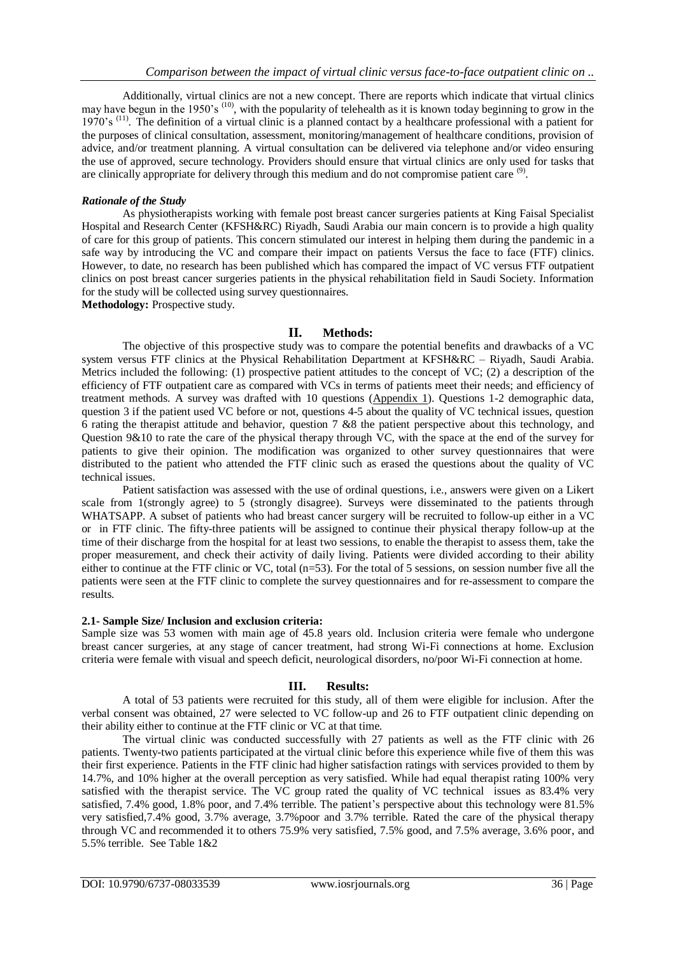Additionally, virtual clinics are not a new concept. There are reports which indicate that virtual clinics may have begun in the 1950's <sup>(10)</sup>, with the popularity of telehealth as it is known today beginning to grow in the 1970's <sup>(11)</sup>. The definition of a virtual clinic is a planned contact by a healthcare professional with a patient for the purposes of clinical consultation, assessment, monitoring/management of healthcare conditions, provision of advice, and/or treatment planning. A virtual consultation can be delivered via telephone and/or video ensuring the use of approved, secure technology. Providers should ensure that virtual clinics are only used for tasks that are clinically appropriate for delivery through this medium and do not compromise patient care <sup>(9)</sup>.

#### *Rationale of the Study*

As physiotherapists working with female post breast cancer surgeries patients at King Faisal Specialist Hospital and Research Center (KFSH&RC) Riyadh, Saudi Arabia our main concern is to provide a high quality of care for this group of patients. This concern stimulated our interest in helping them during the pandemic in a safe way by introducing the VC and compare their impact on patients Versus the face to face (FTF) clinics. However, to date, no research has been published which has compared the impact of VC versus FTF outpatient clinics on post breast cancer surgeries patients in the physical rehabilitation field in Saudi Society. Information for the study will be collected using survey questionnaires.

**Methodology:** Prospective study.

#### **II. Methods:**

The objective of this prospective study was to compare the potential benefits and drawbacks of a VC system versus FTF clinics at the Physical Rehabilitation Department at KFSH&RC – Riyadh, Saudi Arabia. Metrics included the following: (1) prospective patient attitudes to the concept of VC; (2) a description of the efficiency of FTF outpatient care as compared with VCs in terms of patients meet their needs; and efficiency of treatment methods. A survey was drafted with 10 questions [\(Appendix](https://periop.jmir.org/2020/1/e12491/#app1) 1). Questions 1-2 demographic data, question 3 if the patient used VC before or not, questions 4-5 about the quality of VC technical issues, question 6 rating the therapist attitude and behavior, question 7 &8 the patient perspective about this technology, and Question 9&10 to rate the care of the physical therapy through VC, with the space at the end of the survey for patients to give their opinion. The modification was organized to other survey questionnaires that were distributed to the patient who attended the FTF clinic such as erased the questions about the quality of VC technical issues.

Patient satisfaction was assessed with the use of ordinal questions, i.e., answers were given on a Likert scale from 1(strongly agree) to 5 (strongly disagree). Surveys were disseminated to the patients through WHATSAPP. A subset of patients who had breast cancer surgery will be recruited to follow-up either in a VC or in FTF clinic. The fifty-three patients will be assigned to continue their physical therapy follow-up at the time of their discharge from the hospital for at least two sessions, to enable the therapist to assess them, take the proper measurement, and check their activity of daily living. Patients were divided according to their ability either to continue at the FTF clinic or VC, total (n=53). For the total of 5 sessions, on session number five all the patients were seen at the FTF clinic to complete the survey questionnaires and for re-assessment to compare the results.

#### **2.1- Sample Size/ Inclusion and exclusion criteria:**

Sample size was 53 women with main age of 45.8 years old. Inclusion criteria were female who undergone breast cancer surgeries, at any stage of cancer treatment, had strong Wi-Fi connections at home. Exclusion criteria were female with visual and speech deficit, neurological disorders, no/poor Wi-Fi connection at home.

# **III. Results:**

A total of 53 patients were recruited for this study, all of them were eligible for inclusion. After the verbal consent was obtained, 27 were selected to VC follow-up and 26 to FTF outpatient clinic depending on their ability either to continue at the FTF clinic or VC at that time.

The virtual clinic was conducted successfully with 27 patients as well as the FTF clinic with 26 patients. Twenty-two patients participated at the virtual clinic before this experience while five of them this was their first experience. Patients in the FTF clinic had higher satisfaction ratings with services provided to them by 14.7%, and 10% higher at the overall perception as very satisfied. While had equal therapist rating 100% very satisfied with the therapist service. The VC group rated the quality of VC technical issues as 83.4% very satisfied, 7.4% good, 1.8% poor, and 7.4% terrible. The patient's perspective about this technology were 81.5% very satisfied,7.4% good, 3.7% average, 3.7%poor and 3.7% terrible. Rated the care of the physical therapy through VC and recommended it to others 75.9% very satisfied, 7.5% good, and 7.5% average, 3.6% poor, and 5.5% terrible. See Table 1&2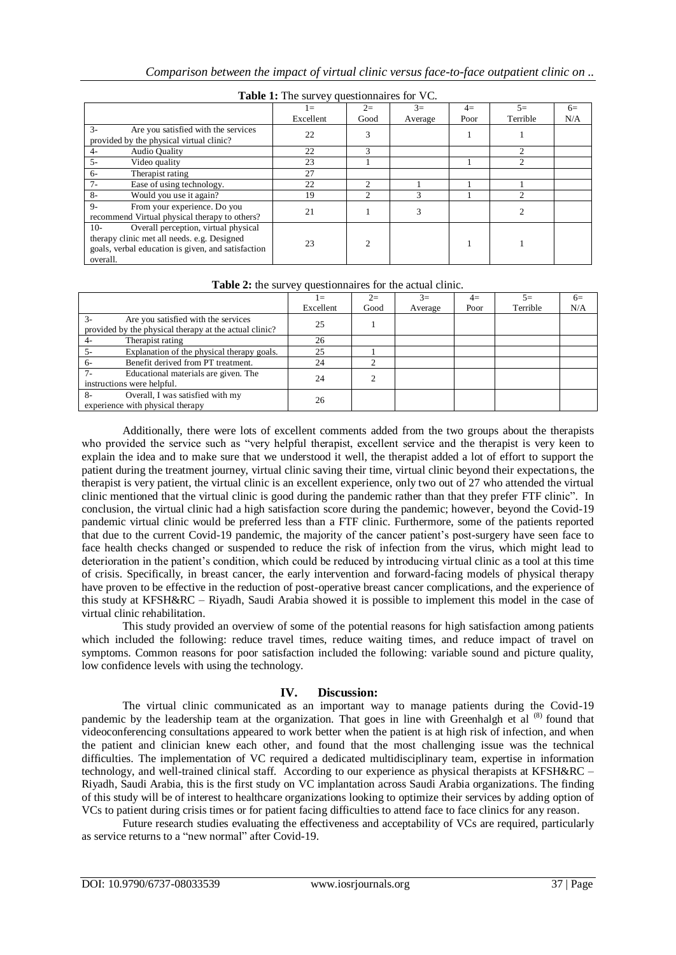| $\frac{1}{2}$ and $\frac{1}{2}$ and $\frac{1}{2}$ are $\frac{1}{2}$ and $\frac{1}{2}$ are $\frac{1}{2}$ and $\frac{1}{2}$ are $\frac{1}{2}$ and $\frac{1}{2}$ are $\frac{1}{2}$ and $\frac{1}{2}$ are $\frac{1}{2}$ and $\frac{1}{2}$ are $\frac{1}{2}$ and $\frac{1}{2}$ are $\frac{1}{2}$ a |           |      |         |      |          |      |
|-----------------------------------------------------------------------------------------------------------------------------------------------------------------------------------------------------------------------------------------------------------------------------------------------|-----------|------|---------|------|----------|------|
|                                                                                                                                                                                                                                                                                               | $1 =$     | $2=$ | $3=$    | $4=$ | $5=$     | $6=$ |
|                                                                                                                                                                                                                                                                                               | Excellent | Good | Average | Poor | Terrible | N/A  |
| $3-$<br>Are you satisfied with the services<br>provided by the physical virtual clinic?                                                                                                                                                                                                       | 22        |      |         |      |          |      |
| <b>Audio Quality</b><br>4-                                                                                                                                                                                                                                                                    | 22        | 3    |         |      |          |      |
| $5 -$<br>Video quality                                                                                                                                                                                                                                                                        | 23        |      |         |      | ◠        |      |
| Therapist rating<br>$6 -$                                                                                                                                                                                                                                                                     | 27        |      |         |      |          |      |
| $7 -$<br>Ease of using technology.                                                                                                                                                                                                                                                            | 22        | ↑    |         |      |          |      |
| $8-$<br>Would you use it again?                                                                                                                                                                                                                                                               | 19        | ↑    |         |      |          |      |
| $9-$<br>From your experience. Do you<br>recommend Virtual physical therapy to others?                                                                                                                                                                                                         | 21        |      |         |      |          |      |
| Overall perception, virtual physical<br>$10-$<br>therapy clinic met all needs. e.g. Designed<br>goals, verbal education is given, and satisfaction<br>overall.                                                                                                                                | 23        |      |         |      |          |      |

|  | Table 1: The survey questionnaires for VC. |  |  |
|--|--------------------------------------------|--|--|
|  |                                            |  |  |

| <b>Table 2.</b> The survey questionmanes for the actual chilic. |           |      |         |      |          |      |
|-----------------------------------------------------------------|-----------|------|---------|------|----------|------|
|                                                                 | $=$       | $2=$ | $3=$    | $4=$ | $5=$     | $6=$ |
|                                                                 | Excellent | Good | Average | Poor | Terrible | N/A  |
| $3-$<br>Are you satisfied with the services                     | 25        |      |         |      |          |      |
| provided by the physical therapy at the actual clinic?          |           |      |         |      |          |      |
| Therapist rating<br>4-                                          | 26        |      |         |      |          |      |
| Explanation of the physical therapy goals.<br>$5 -$             | 25        |      |         |      |          |      |
| Benefit derived from PT treatment.<br>$6-$                      | 24        |      |         |      |          |      |
| $7 -$<br>Educational materials are given. The                   | 24        | 2    |         |      |          |      |
| instructions were helpful.                                      |           |      |         |      |          |      |
| Overall, I was satisfied with my<br>$8-$                        | 26        |      |         |      |          |      |
| experience with physical therapy                                |           |      |         |      |          |      |

**Table 2:** the survey questionnaires for the actual clinic.

Additionally, there were lots of excellent comments added from the two groups about the therapists who provided the service such as "very helpful therapist, excellent service and the therapist is very keen to explain the idea and to make sure that we understood it well, the therapist added a lot of effort to support the patient during the treatment journey, virtual clinic saving their time, virtual clinic beyond their expectations, the therapist is very patient, the virtual clinic is an excellent experience, only two out of 27 who attended the virtual clinic mentioned that the virtual clinic is good during the pandemic rather than that they prefer FTF clinic". In conclusion, the virtual clinic had a high satisfaction score during the pandemic; however, beyond the Covid-19 pandemic virtual clinic would be preferred less than a FTF clinic. Furthermore, some of the patients reported that due to the current Covid-19 pandemic, the majority of the cancer patient's post-surgery have seen face to face health checks changed or suspended to reduce the risk of infection from the virus, which might lead to deterioration in the patient's condition, which could be reduced by introducing virtual clinic as a tool at this time of crisis. Specifically, in breast cancer, the early intervention and forward-facing models of physical therapy have proven to be effective in the reduction of post-operative breast cancer complications, and the experience of this study at KFSH&RC – Riyadh, Saudi Arabia showed it is possible to implement this model in the case of virtual clinic rehabilitation.

This study provided an overview of some of the potential reasons for high satisfaction among patients which included the following: reduce travel times, reduce waiting times, and reduce impact of travel on symptoms. Common reasons for poor satisfaction included the following: variable sound and picture quality, low confidence levels with using the technology.

# **IV. Discussion:**

The virtual clinic communicated as an important way to manage patients during the Covid-19 pandemic by the leadership team at the organization. That goes in line with Greenhalgh et al (8) found that videoconferencing consultations appeared to work better when the patient is at high risk of infection, and when the patient and clinician knew each other, and found that the most challenging issue was the technical difficulties. The implementation of VC required a dedicated multidisciplinary team, expertise in information technology, and well-trained clinical staff. According to our experience as physical therapists at KFSH&RC – Riyadh, Saudi Arabia, this is the first study on VC implantation across Saudi Arabia organizations. The finding of this study will be of interest to healthcare organizations looking to optimize their services by adding option of VCs to patient during crisis times or for patient facing difficulties to attend face to face clinics for any reason.

Future research studies evaluating the effectiveness and acceptability of VCs are required, particularly as service returns to a "new normal" after Covid-19.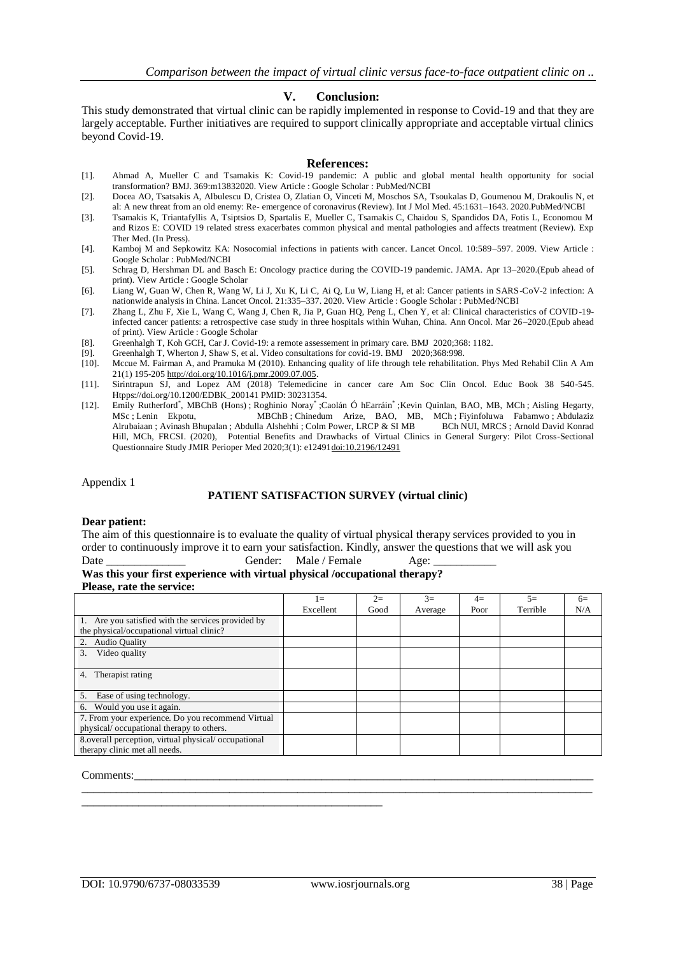#### **V. Conclusion:**

This study demonstrated that virtual clinic can be rapidly implemented in response to Covid-19 and that they are largely acceptable. Further initiatives are required to support clinically appropriate and acceptable virtual clinics beyond Covid-19.

## **References:**

- [1]. Ahmad A, Mueller C and Tsamakis K: Covid-19 pandemic: A public and global mental health opportunity for social transformation? BMJ. 369:m13832020. View Article : Google Scholar : PubMed/NCBI
- [2]. Docea AO, Tsatsakis A, Albulescu D, Cristea O, Zlatian O, Vinceti M, Moschos SA, Tsoukalas D, Goumenou M, Drakoulis N, et al: A new threat from an old enemy: Re- emergence of coronavirus (Review). Int J Mol Med. 45:1631–1643. 2020.PubMed/NCBI
- [3]. Tsamakis K, Triantafyllis A, Tsiptsios D, Spartalis E, Mueller C, Tsamakis C, Chaidou S, Spandidos DA, Fotis L, Economou M and Rizos E: COVID 19 related stress exacerbates common physical and mental pathologies and affects treatment (Review). Exp Ther Med. (In Press).
- [4]. Kamboj M and Sepkowitz KA: Nosocomial infections in patients with cancer. Lancet Oncol. 10:589–597. 2009. View Article : Google Scholar : PubMed/NCBI
- [5]. Schrag D, Hershman DL and Basch E: Oncology practice during the COVID-19 pandemic. JAMA. Apr 13–2020.(Epub ahead of print). View Article : Google Scholar
- [6]. Liang W, Guan W, Chen R, Wang W, Li J, Xu K, Li C, Ai Q, Lu W, Liang H, et al: Cancer patients in SARS-CoV-2 infection: A nationwide analysis in China. Lancet Oncol. 21:335–337. 2020. View Article : Google Scholar : PubMed/NCBI
- [7]. Zhang L, Zhu F, Xie L, Wang C, Wang J, Chen R, Jia P, Guan HQ, Peng L, Chen Y, et al: Clinical characteristics of COVID-19 infected cancer patients: a retrospective case study in three hospitals within Wuhan, China. Ann Oncol. Mar 26–2020.(Epub ahead of print). View Article : Google Scholar
- [8]. Greenhalgh T, Koh GCH, Car J. Covid-19: a remote assessement in primary care. BMJ 2020;368: 1182. [9]. Greenhalgh T, Wherton J, Shaw S, et al. Video consultations for covid-19. BMJ 2020;368:998.
- [9]. Greenhalgh T, Wherton J, Shaw S, et al. Video consultations for covid-19. BMJ 2020;368:998.<br>[10]. Mccue M. Fairman A, and Pramuka M (2010). Enhancing quality of life through tele rehabilitat
- Mccue M. Fairman A, and Pramuka M (2010). Enhancing quality of life through tele rehabilitation. Phys Med Rehabil Clin A Am 21(1) 195-20[5 http://doi.org/10.1016/j.pmr.2009.07.005.](http://doi.org/10.1016/j.pmr.2009.07.005)
- [11]. Sirintrapun SJ, and Lopez AM (2018) Telemedicine in cancer care Am Soc Clin Oncol. Educ Book 38 540-545. Htpps://doi.org/10.1200/EDBK\_200141 PMID: 30231354.
- [12]. Emily [Rutherford](https://periop.jmir.org/search/searchResult?field%5B%5D=author&criteria%5B%5D=Emily+Rutherford)\*, MBChB (Hons[\)](https://periop.jmir.org/search/searchResult?field%5B%5D=author&criteria%5B%5D=Emily+Rutherford); [Roghinio](https://periop.jmir.org/search/searchResult?field%5B%5D=author&criteria%5B%5D=Roghinio+Noray) Noray\*[;](https://periop.jmir.org/search/searchResult?field%5B%5D=author&criteria%5B%5D=Roghinio+Noray) Caolán Ó [hEarráin](https://periop.jmir.org/search/searchResult?field%5B%5D=author&criteria%5B%5D=Caol%C3%A1n+%C3%93%20hEarr%C3%A1in)\*; Kevin [Quinlan,](https://periop.jmir.org/search/searchResult?field%5B%5D=author&criteria%5B%5D=Kevin+Quinlan) BAO, MB, MC[h](https://periop.jmir.org/search/searchResult?field%5B%5D=author&criteria%5B%5D=Kevin+Quinlan); Aisling [Hegarty,](https://periop.jmir.org/search/searchResult?field%5B%5D=author&criteria%5B%5D=Aisling+Hegarty) [MSc](https://periop.jmir.org/search/searchResult?field%5B%5D=author&criteria%5B%5D=Aisling+Hegarty) ; Lenin [Ekpotu, MBChB](https://periop.jmir.org/search/searchResult?field%5B%5D=author&criteria%5B%5D=Lenin+Ekpotu) ; [Chinedum](https://periop.jmir.org/search/searchResult?field%5B%5D=author&criteria%5B%5D=Chinedum+Arize) Arize, BAO, MB, MC[h](https://periop.jmir.org/search/searchResult?field%5B%5D=author&criteria%5B%5D=Chinedum+Arize) ; [Fiyinfoluwa](https://periop.jmir.org/search/searchResult?field%5B%5D=author&criteria%5B%5D=Fiyinfoluwa+Fabamwo) Fabamw[o](https://periop.jmir.org/search/searchResult?field%5B%5D=author&criteria%5B%5D=Fiyinfoluwa+Fabamwo) ; Abdulaziz<br>Alrubaiaan ; Avinash Bhupalan ; Abdulla Alshehhi ; Colm Power, LRCP & SIMB BCh NUI, MRCS ; Arnold David Konrad [Alrubaiaan](https://periop.jmir.org/search/searchResult?field%5B%5D=author&criteria%5B%5D=Abdulaziz+Alrubaiaan) ; Avinash [Bhupalan](https://periop.jmir.org/search/searchResult?field%5B%5D=author&criteria%5B%5D=Avinash+Bhupalan) ; Abdulla [Alshehhi](https://periop.jmir.org/search/searchResult?field%5B%5D=author&criteria%5B%5D=Abdulla+Alshehhi) [;](https://periop.jmir.org/search/searchResult?field%5B%5D=author&criteria%5B%5D=Colm+Power) Colm Power, LRCP & SI MB Hill, MCh, [FRCSI.](https://periop.jmir.org/search/searchResult?field%5B%5D=author&criteria%5B%5D=Arnold%20David%20Konrad+Hill) (2020),Potential Benefits and Drawbacks of Virtual Clinics in General Surgery: Pilot Cross-Sectional Questionnaire Study JMIR Perioper Med 2020;3(1): e1249[1doi:10.2196/12491](http://doi.org/10.2196/12491)

Appendix 1

#### **PATIENT SATISFACTION SURVEY (virtual clinic)**

#### **Dear patient:**

The aim of this questionnaire is to evaluate the quality of virtual physical therapy services provided to you in order to continuously improve it to earn your satisfaction. Kindly, answer the questions that we will ask you Date Cender: Male / Female Age:

## **Was this your first experience with virtual physical /occupational therapy? Please, rate the service:**

\_\_\_\_\_\_\_\_\_\_\_\_\_\_\_\_\_\_\_\_\_\_\_\_\_\_\_\_\_\_\_\_\_\_\_\_\_\_\_\_\_\_\_\_\_\_\_\_\_\_\_\_\_

 $1=$ Excellent  $2=$ Good  $3=$ Average  $4=$ Poor  $5=$ Terrible  $6=$ N/A 1. Are you satisfied with the services provided by the physical/occupational virtual clinic? 2. Audio Quality 3. Video quality 4. Therapist rating 5. Ease of using technology. 6. Would you use it again. 7. From your experience. Do you recommend Virtual physical/ occupational therapy to others. 8.overall perception, virtual physical/ occupational therapy clinic met all needs.

 $\_$  ,  $\_$  ,  $\_$  ,  $\_$  ,  $\_$  ,  $\_$  ,  $\_$  ,  $\_$  ,  $\_$  ,  $\_$  ,  $\_$  ,  $\_$  ,  $\_$  ,  $\_$  ,  $\_$  ,  $\_$  ,  $\_$  ,  $\_$  ,  $\_$  ,  $\_$  ,  $\_$  ,  $\_$  ,  $\_$  ,  $\_$  ,  $\_$  ,  $\_$  ,  $\_$  ,  $\_$  ,  $\_$  ,  $\_$  ,  $\_$  ,  $\_$  ,  $\_$  ,  $\_$  ,  $\_$  ,  $\_$  ,  $\_$  ,

Comments:\_\_\_\_\_\_\_\_\_\_\_\_\_\_\_\_\_\_\_\_\_\_\_\_\_\_\_\_\_\_\_\_\_\_\_\_\_\_\_\_\_\_\_\_\_\_\_\_\_\_\_\_\_\_\_\_\_\_\_\_\_\_\_\_\_\_\_\_\_\_\_\_\_\_\_\_\_\_\_\_\_